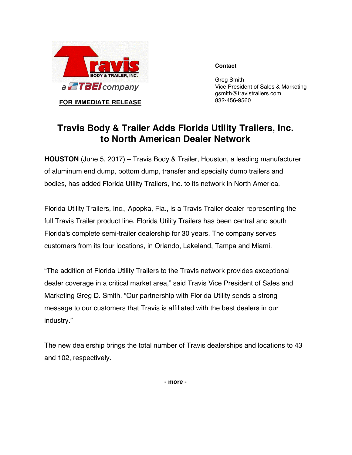

**FOR IMMEDIATE RELEASE**

**Contact**

Greg Smith Vice President of Sales & Marketing gsmith@travistrailers.com 832-456-9560

## **Travis Body & Trailer Adds Florida Utility Trailers, Inc. to North American Dealer Network**

**HOUSTON** (June 5, 2017) – Travis Body & Trailer, Houston, a leading manufacturer of aluminum end dump, bottom dump, transfer and specialty dump trailers and bodies, has added Florida Utility Trailers, Inc. to its network in North America.

Florida Utility Trailers, Inc., Apopka, Fla., is a Travis Trailer dealer representing the full Travis Trailer product line. Florida Utility Trailers has been central and south Florida's complete semi-trailer dealership for 30 years. The company serves customers from its four locations, in Orlando, Lakeland, Tampa and Miami.

"The addition of Florida Utility Trailers to the Travis network provides exceptional dealer coverage in a critical market area," said Travis Vice President of Sales and Marketing Greg D. Smith. "Our partnership with Florida Utility sends a strong message to our customers that Travis is affiliated with the best dealers in our industry."

The new dealership brings the total number of Travis dealerships and locations to 43 and 102, respectively.

**- more -**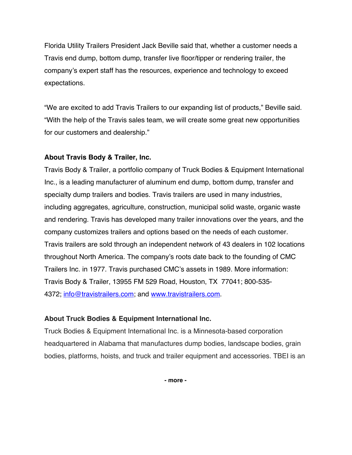Florida Utility Trailers President Jack Beville said that, whether a customer needs a Travis end dump, bottom dump, transfer live floor/tipper or rendering trailer, the company's expert staff has the resources, experience and technology to exceed expectations.

"We are excited to add Travis Trailers to our expanding list of products," Beville said. "With the help of the Travis sales team, we will create some great new opportunities for our customers and dealership."

## **About Travis Body & Trailer, Inc.**

Travis Body & Trailer, a portfolio company of Truck Bodies & Equipment International Inc., is a leading manufacturer of aluminum end dump, bottom dump, transfer and specialty dump trailers and bodies. Travis trailers are used in many industries, including aggregates, agriculture, construction, municipal solid waste, organic waste and rendering. Travis has developed many trailer innovations over the years, and the company customizes trailers and options based on the needs of each customer. Travis trailers are sold through an independent network of 43 dealers in 102 locations throughout North America. The company's roots date back to the founding of CMC Trailers Inc. in 1977. Travis purchased CMC's assets in 1989. More information: Travis Body & Trailer, 13955 FM 529 Road, Houston, TX 77041; 800-535- 4372; info@travistrailers.com; and www.travistrailers.com.

## **About Truck Bodies & Equipment International Inc.**

Truck Bodies & Equipment International Inc. is a Minnesota-based corporation headquartered in Alabama that manufactures dump bodies, landscape bodies, grain bodies, platforms, hoists, and truck and trailer equipment and accessories. TBEI is an

**- more -**